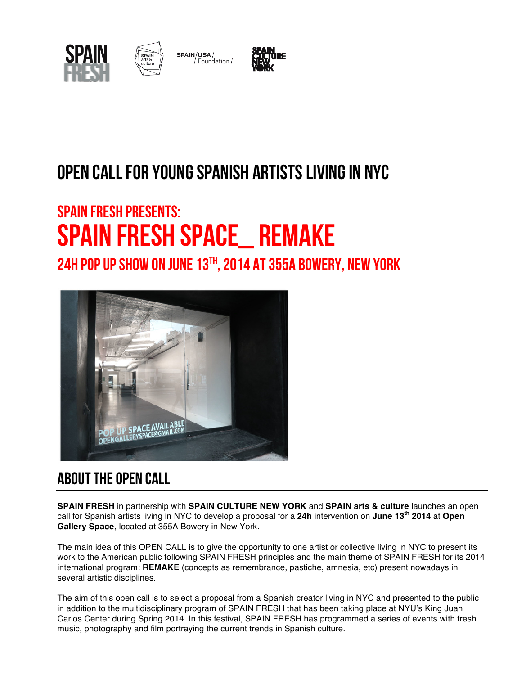



SPAIN/USA/ / Foundation /



## OPEN CALL FOR YOUNG SPANISH ARTISTS LIVING IN NYC

# SPAIN FRESH presents: SPAIN FRESH SPACE\_ REMAKE

24H POP UP SHOW ON JUNE  $13<sup>TH</sup>$ , 2014 AT 355A BOWERY, NEW YORK



### ABOUT THE OPEN CALL

**SPAIN FRESH** in partnership with **SPAIN CULTURE NEW YORK** and **SPAIN arts & culture** launches an open call for Spanish artists living in NYC to develop a proposal for a **24h** intervention on **June 13th 2014** at **Open Gallery Space**, located at 355A Bowery in New York.

The main idea of this OPEN CALL is to give the opportunity to one artist or collective living in NYC to present its work to the American public following SPAIN FRESH principles and the main theme of SPAIN FRESH for its 2014 international program: **REMAKE** (concepts as remembrance, pastiche, amnesia, etc) present nowadays in several artistic disciplines.

The aim of this open call is to select a proposal from a Spanish creator living in NYC and presented to the public in addition to the multidisciplinary program of SPAIN FRESH that has been taking place at NYU's King Juan Carlos Center during Spring 2014. In this festival, SPAIN FRESH has programmed a series of events with fresh music, photography and film portraying the current trends in Spanish culture.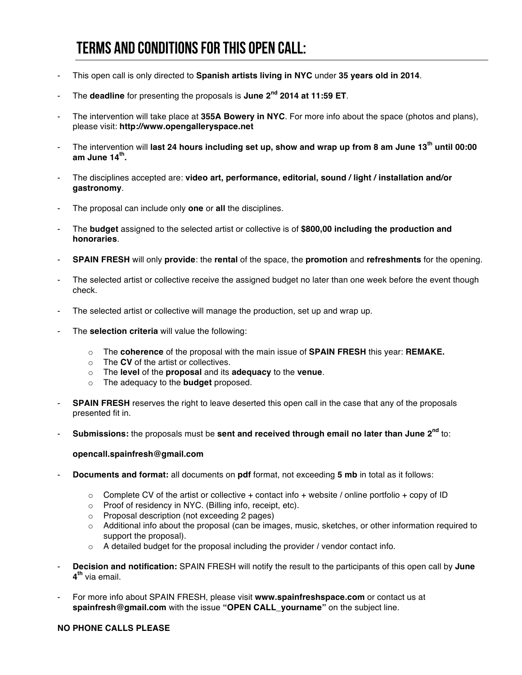### TERMS AND CONDITIONS FOR THIS OPEN CALL:

- This open call is only directed to **Spanish artists living in NYC** under **35 years old in 2014**.
- The **deadline** for presenting the proposals is **June 2nd 2014 at 11:59 ET**.
- The intervention will take place at **355A Bowery in NYC**. For more info about the space (photos and plans), please visit: **http://www.opengalleryspace.net**
- The intervention will **last 24 hours including set up, show and wrap up from 8 am June 13th until 00:00 am June 14th.**
- The disciplines accepted are: **video art, performance, editorial, sound / light / installation and/or gastronomy**.
- The proposal can include only **one** or **all** the disciplines.
- The **budget** assigned to the selected artist or collective is of **\$800,00 including the production and honoraries**.
- **SPAIN FRESH** will only **provide**: the **rental** of the space, the **promotion** and **refreshments** for the opening.
- The selected artist or collective receive the assigned budget no later than one week before the event though check.
- The selected artist or collective will manage the production, set up and wrap up.
- The **selection criteria** will value the following:
	- o The **coherence** of the proposal with the main issue of **SPAIN FRESH** this year: **REMAKE.**
	- o The **CV** of the artist or collectives.
	- o The **level** of the **proposal** and its **adequacy** to the **venue**.
	- o The adequacy to the **budget** proposed.
- **SPAIN FRESH** reserves the right to leave deserted this open call in the case that any of the proposals presented fit in.
- **Submissions:** the proposals must be **sent and received through email no later than June 2nd** to:

#### **opencall.spainfresh@gmail.com**

- **Documents and format:** all documents on **pdf** format, not exceeding **5 mb** in total as it follows:
	- $\circ$  Complete CV of the artist or collective + contact info + website / online portfolio + copy of ID
	- o Proof of residency in NYC. (Billing info, receipt, etc).
	- o Proposal description (not exceeding 2 pages)
	- o Additional info about the proposal (can be images, music, sketches, or other information required to support the proposal).
	- $\circ$  A detailed budget for the proposal including the provider / vendor contact info.
- **Decision and notification:** SPAIN FRESH will notify the result to the participants of this open call by **June 4th** via email.
- For more info about SPAIN FRESH, please visit **www.spainfreshspace.com** or contact us at **spainfresh@gmail.com** with the issue **"OPEN CALL\_yourname"** on the subject line.

#### **NO PHONE CALLS PLEASE**